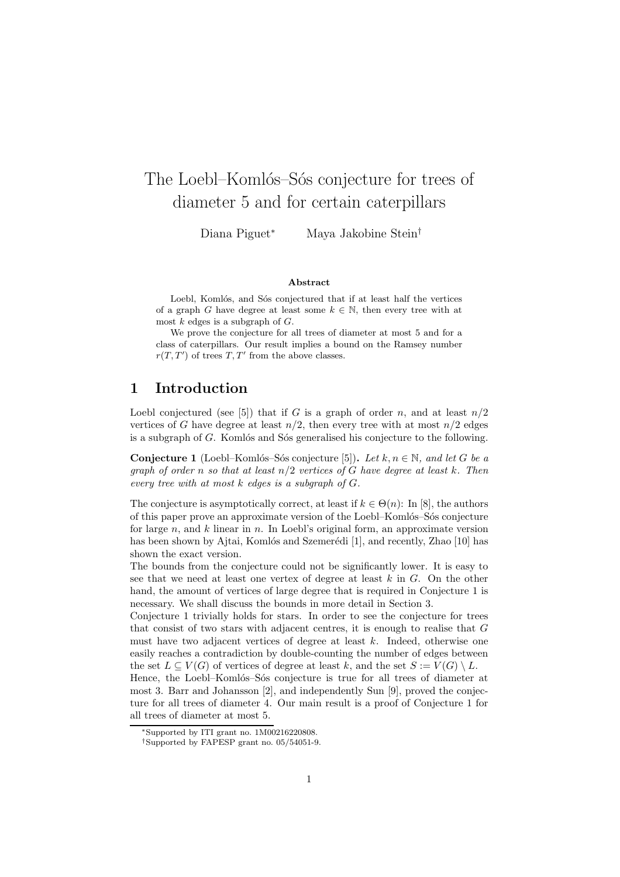# The Loebl–Komlós–Sós conjecture for trees of diameter 5 and for certain caterpillars

Diana Piguet<sup>∗</sup> Maya Jakobine Stein†

#### Abstract

Loebl, Komlós, and Sós conjectured that if at least half the vertices of a graph G have degree at least some  $k \in \mathbb{N}$ , then every tree with at most  $k$  edges is a subgraph of  $G$ .

We prove the conjecture for all trees of diameter at most 5 and for a class of caterpillars. Our result implies a bound on the Ramsey number  $r(T, T')$  of trees  $T, T'$  from the above classes.

# 1 Introduction

Loebl conjectured (see [5]) that if G is a graph of order n, and at least  $n/2$ vertices of G have degree at least  $n/2$ , then every tree with at most  $n/2$  edges is a subgraph of  $G$ . Komlós and Sós generalised his conjecture to the following.

**Conjecture 1** (Loebl–Komlós–Sós conjecture [5]). Let  $k, n \in \mathbb{N}$ , and let G be a graph of order n so that at least  $n/2$  vertices of G have degree at least k. Then every tree with at most  $k$  edges is a subgraph of  $G$ .

The conjecture is asymptotically correct, at least if  $k \in \Theta(n)$ : In [8], the authors of this paper prove an approximate version of the Loebl–Komlós–Sós conjecture for large n, and k linear in n. In Loebl's original form, an approximate version has been shown by Ajtai, Komlós and Szemerédi [1], and recently, Zhao [10] has shown the exact version.

The bounds from the conjecture could not be significantly lower. It is easy to see that we need at least one vertex of degree at least  $k$  in  $G$ . On the other hand, the amount of vertices of large degree that is required in Conjecture 1 is necessary. We shall discuss the bounds in more detail in Section 3.

Conjecture 1 trivially holds for stars. In order to see the conjecture for trees that consist of two stars with adjacent centres, it is enough to realise that G must have two adjacent vertices of degree at least  $k$ . Indeed, otherwise one easily reaches a contradiction by double-counting the number of edges between the set  $L \subseteq V(G)$  of vertices of degree at least k, and the set  $S := V(G) \setminus L$ .

Hence, the Loebl-Komlós-Sós conjecture is true for all trees of diameter at most 3. Barr and Johansson [2], and independently Sun [9], proved the conjecture for all trees of diameter 4. Our main result is a proof of Conjecture 1 for all trees of diameter at most 5.

<sup>∗</sup>Supported by ITI grant no. 1M00216220808.

<sup>†</sup>Supported by FAPESP grant no. 05/54051-9.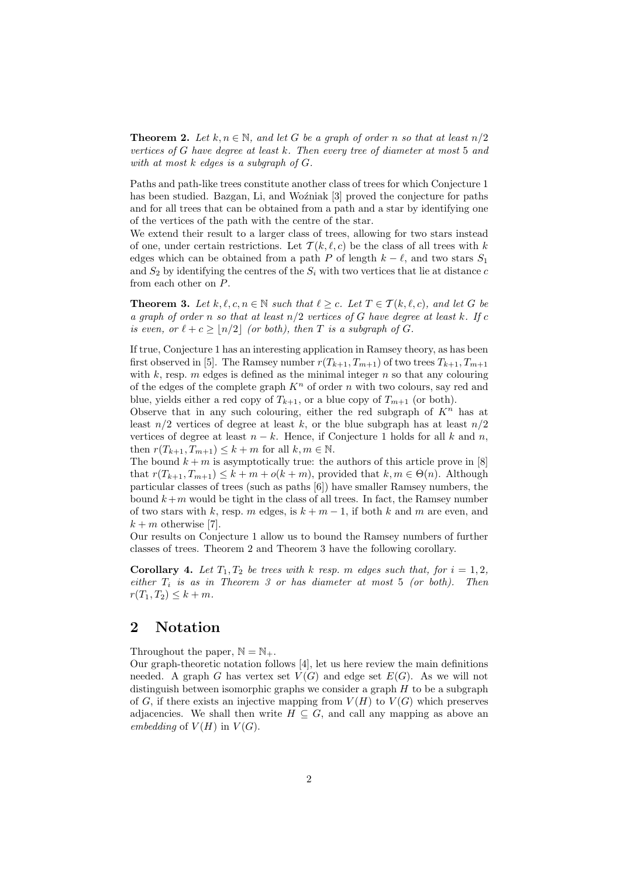**Theorem 2.** Let  $k, n \in \mathbb{N}$ , and let G be a graph of order n so that at least  $n/2$ vertices of G have degree at least  $k$ . Then every tree of diameter at most 5 and with at most k edges is a subgraph of G.

Paths and path-like trees constitute another class of trees for which Conjecture 1 has been studied. Bazgan, Li, and Wozniak [3] proved the conjecture for paths and for all trees that can be obtained from a path and a star by identifying one of the vertices of the path with the centre of the star.

We extend their result to a larger class of trees, allowing for two stars instead of one, under certain restrictions. Let  $\mathcal{T}(k, \ell, c)$  be the class of all trees with k edges which can be obtained from a path P of length  $k - \ell$ , and two stars  $S_1$ and  $S_2$  by identifying the centres of the  $S_i$  with two vertices that lie at distance c from each other on P.

**Theorem 3.** Let  $k, \ell, c, n \in \mathbb{N}$  such that  $\ell \geq c$ . Let  $T \in \mathcal{T}(k, \ell, c)$ , and let G be a graph of order n so that at least  $n/2$  vertices of G have degree at least k. If c is even, or  $\ell + c \geq |n/2|$  (or both), then T is a subgraph of G.

If true, Conjecture 1 has an interesting application in Ramsey theory, as has been first observed in [5]. The Ramsey number  $r(T_{k+1}, T_{m+1})$  of two trees  $T_{k+1}, T_{m+1}$ with  $k$ , resp. m edges is defined as the minimal integer  $n$  so that any colouring of the edges of the complete graph  $K<sup>n</sup>$  of order n with two colours, say red and blue, yields either a red copy of  $T_{k+1}$ , or a blue copy of  $T_{m+1}$  (or both).

Observe that in any such colouring, either the red subgraph of  $K<sup>n</sup>$  has at least  $n/2$  vertices of degree at least k, or the blue subgraph has at least  $n/2$ vertices of degree at least  $n - k$ . Hence, if Conjecture 1 holds for all k and n, then  $r(T_{k+1}, T_{m+1}) \leq k+m$  for all  $k, m \in \mathbb{N}$ .

The bound  $k + m$  is asymptotically true: the authors of this article prove in [8] that  $r(T_{k+1}, T_{m+1}) \leq k + m + o(k+m)$ , provided that  $k, m \in \Theta(n)$ . Although particular classes of trees (such as paths [6]) have smaller Ramsey numbers, the bound  $k+m$  would be tight in the class of all trees. In fact, the Ramsey number of two stars with k, resp. m edges, is  $k + m - 1$ , if both k and m are even, and  $k + m$  otherwise [7].

Our results on Conjecture 1 allow us to bound the Ramsey numbers of further classes of trees. Theorem 2 and Theorem 3 have the following corollary.

**Corollary 4.** Let  $T_1, T_2$  be trees with k resp. m edges such that, for  $i = 1, 2$ , either  $T_i$  is as in Theorem 3 or has diameter at most 5 (or both). Then  $r(T_1, T_2) \leq k + m$ .

### 2 Notation

Throughout the paper,  $\mathbb{N} = \mathbb{N}_+$ .

Our graph-theoretic notation follows [4], let us here review the main definitions needed. A graph G has vertex set  $V(G)$  and edge set  $E(G)$ . As we will not distinguish between isomorphic graphs we consider a graph  $H$  to be a subgraph of G, if there exists an injective mapping from  $V(H)$  to  $V(G)$  which preserves adjacencies. We shall then write  $H \subseteq G$ , and call any mapping as above an embedding of  $V(H)$  in  $V(G)$ .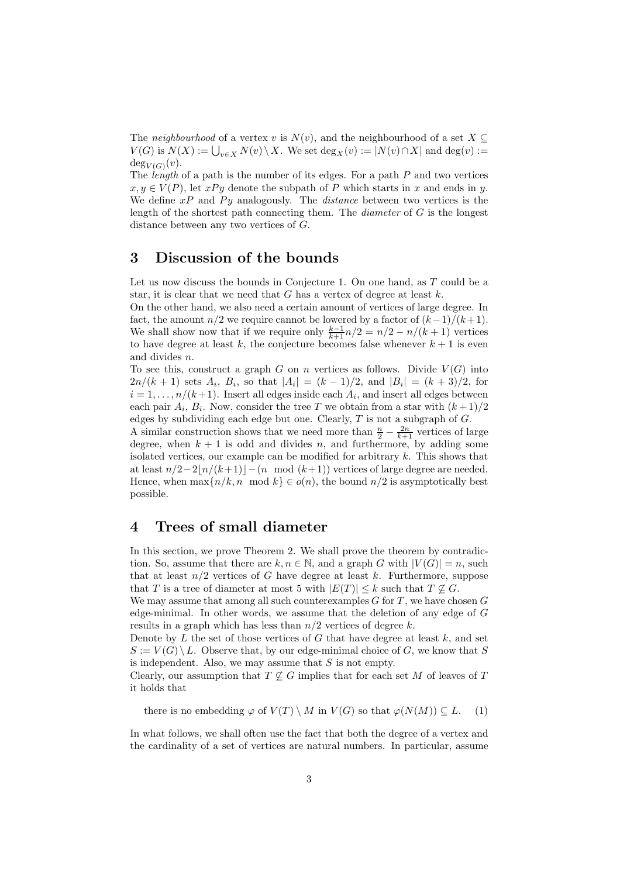The neighbourhood of a vertex v is  $N(v)$ , and the neighbourhood of a set  $X \subseteq$  $V(G)$  is  $N(X) := \bigcup_{v \in X} N(v) \setminus X$ . We set  $\deg_X(v) := |N(v) \cap X|$  and  $\deg(v) :=$  $deg_{V(G)}(v)$ .

The length of a path is the number of its edges. For a path  $P$  and two vertices  $x, y \in V(P)$ , let  $xPy$  denote the subpath of P which starts in x and ends in y. We define  $xP$  and  $Py$  analogously. The *distance* between two vertices is the length of the shortest path connecting them. The *diameter* of  $G$  is the longest distance between any two vertices of G.

### 3 Discussion of the bounds

Let us now discuss the bounds in Conjecture 1. On one hand, as  $T$  could be a star, it is clear that we need that G has a vertex of degree at least  $k$ .

On the other hand, we also need a certain amount of vertices of large degree. In fact, the amount  $n/2$  we require cannot be lowered by a factor of  $(k-1)/(k+1)$ . We shall show now that if we require only  $\frac{k-1}{k+1}n/2 = n/2 - n/(k+1)$  vertices to have degree at least k, the conjecture becomes false whenever  $k + 1$  is even and divides n.

To see this, construct a graph G on n vertices as follows. Divide  $V(G)$  into  $2n/(k+1)$  sets  $A_i$ ,  $B_i$ , so that  $|A_i| = (k-1)/2$ , and  $|B_i| = (k+3)/2$ , for  $i = 1, \ldots, n/(k+1)$ . Insert all edges inside each  $A_i$ , and insert all edges between each pair  $A_i$ ,  $B_i$ . Now, consider the tree T we obtain from a star with  $(k+1)/2$ edges by subdividing each edge but one. Clearly,  $T$  is not a subgraph of  $G$ .

A similar construction shows that we need more than  $\frac{n}{2} - \frac{2n}{k+1}$  vertices of large degree, when  $k + 1$  is odd and divides n, and furthermore, by adding some isolated vertices, our example can be modified for arbitrary  $k$ . This shows that at least  $n/2-2\lfloor n/(k+1)\rfloor-(n \mod (k+1))$  vertices of large degree are needed. Hence, when  $\max\{n/k, n \mod k\} \in o(n)$ , the bound  $n/2$  is asymptotically best possible.

# 4 Trees of small diameter

In this section, we prove Theorem 2. We shall prove the theorem by contradiction. So, assume that there are  $k, n \in \mathbb{N}$ , and a graph G with  $|V(G)| = n$ , such that at least  $n/2$  vertices of G have degree at least k. Furthermore, suppose that T is a tree of diameter at most 5 with  $|E(T)| \leq k$  such that  $T \nsubseteq G$ .

We may assume that among all such counterexamples  $G$  for  $T$ , we have chosen  $G$ edge-minimal. In other words, we assume that the deletion of any edge of  $G$ results in a graph which has less than  $n/2$  vertices of degree k.

Denote by  $L$  the set of those vertices of  $G$  that have degree at least  $k$ , and set  $S := V(G) \setminus L$ . Observe that, by our edge-minimal choice of G, we know that S is independent. Also, we may assume that  $S$  is not empty.

Clearly, our assumption that  $T \not\subseteq G$  implies that for each set M of leaves of T it holds that

there is no embedding  $\varphi$  of  $V(T) \setminus M$  in  $V(G)$  so that  $\varphi(N(M)) \subseteq L$ . (1)

In what follows, we shall often use the fact that both the degree of a vertex and the cardinality of a set of vertices are natural numbers. In particular, assume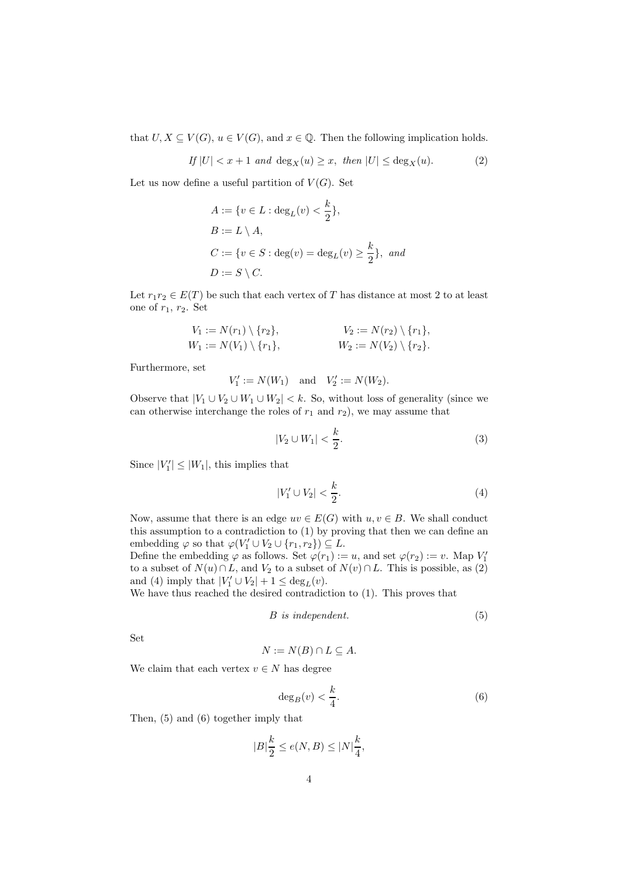that  $U, X \subseteq V(G)$ ,  $u \in V(G)$ , and  $x \in \mathbb{Q}$ . Then the following implication holds.

$$
If |U| < x + 1 \text{ and } \deg_X(u) \ge x, \text{ then } |U| \le \deg_X(u). \tag{2}
$$

Let us now define a useful partition of  $V(G)$ . Set

$$
A := \{v \in L : \deg_L(v) < \frac{k}{2}\},
$$
\n
$$
B := L \setminus A,
$$
\n
$$
C := \{v \in S : \deg(v) = \deg_L(v) \ge \frac{k}{2}\}, \text{ and}
$$
\n
$$
D := S \setminus C.
$$

Let  $r_1r_2 \in E(T)$  be such that each vertex of T has distance at most 2 to at least one of  $r_1, r_2$ . Set

$$
V_1 := N(r_1) \setminus \{r_2\},
$$
  
\n
$$
V_2 := N(r_2) \setminus \{r_1\},
$$
  
\n
$$
W_1 := N(V_1) \setminus \{r_1\},
$$
  
\n
$$
W_2 := N(V_2) \setminus \{r_2\}.
$$

Furthermore, set

$$
V'_1 := N(W_1)
$$
 and  $V'_2 := N(W_2)$ .

Observe that  $|V_1 \cup V_2 \cup W_1 \cup W_2| < k$ . So, without loss of generality (since we can otherwise interchange the roles of  $r_1$  and  $r_2$ ), we may assume that

$$
|V_2 \cup W_1| < \frac{k}{2}.\tag{3}
$$

Since  $|V'_1| \leq |W_1|$ , this implies that

$$
|V_1' \cup V_2| < \frac{k}{2}.\tag{4}
$$

Now, assume that there is an edge  $uv \in E(G)$  with  $u, v \in B$ . We shall conduct this assumption to a contradiction to (1) by proving that then we can define an embedding  $\varphi$  so that  $\varphi(V'_1 \cup V_2 \cup \{r_1, r_2\}) \subseteq L$ .

Define the embedding  $\varphi$  as follows. Set  $\varphi(r_1) := u$ , and set  $\varphi(r_2) := v$ . Map  $V_1'$ to a subset of  $N(u) \cap L$ , and  $V_2$  to a subset of  $N(v) \cap L$ . This is possible, as (2) and (4) imply that  $|V'_1 \cup V_2| + 1 \le \deg_L(v)$ .

We have thus reached the desired contradiction to (1). This proves that

$$
B \ \ is \ independent. \tag{5}
$$

Set

$$
N := N(B) \cap L \subseteq A.
$$

We claim that each vertex  $v \in N$  has degree

$$
\deg_B(v) < \frac{k}{4}.\tag{6}
$$

Then, (5) and (6) together imply that

$$
|B|\frac{k}{2}\leq e(N,B)\leq |N|\frac{k}{4},
$$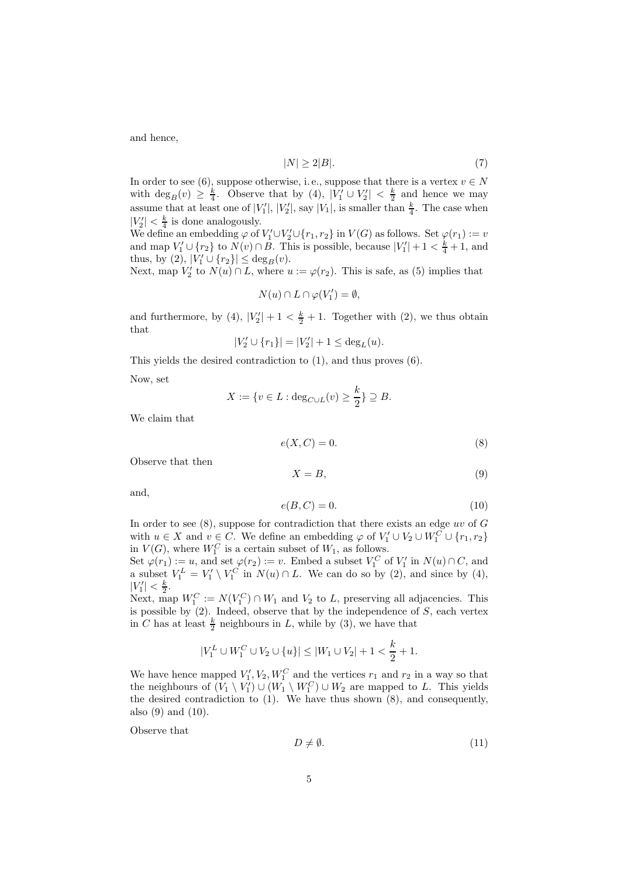and hence,

$$
|N| \ge 2|B|. \tag{7}
$$

In order to see (6), suppose otherwise, i.e., suppose that there is a vertex  $v \in N$ with  $\deg_B(v) \geq \frac{k}{4}$  $\frac{k}{4}$ . Observe that by (4),  $|\vec{V_1} \cup V_2'| < \frac{k}{2}$  $\frac{k}{2}$  and hence we may assume that at least one of  $|V_1'|$ ,  $|V_2'|$ , say  $|V_1|$ , is smaller than  $\frac{k}{4}$ . The case when  $|V'_2| < \frac{k}{4}$  $\frac{k}{4}$  is done analogously.

We define an embedding  $\varphi$  of  $V_1' \cup V_2' \cup \{r_1, r_2\}$  in  $V(G)$  as follows. Set  $\varphi(r_1) := v$ and map  $V'_1 \cup \{r_2\}$  to  $N(v) \cap B$ . This is possible, because  $|V'_1| + 1 < \frac{k}{4} + 1$ , and thus, by (2),  $|\hat{V}'_1 \cup \{r_2\}| \le \deg_B(v)$ .

Next, map  $V'_2$  to  $N(u) \cap L$ , where  $u := \varphi(r_2)$ . This is safe, as (5) implies that

$$
N(u)\cap L\cap \varphi(V_1')=\emptyset,
$$

and furthermore, by (4),  $|V_2'| + 1 < \frac{k}{2} + 1$ . Together with (2), we thus obtain that

$$
|V_2' \cup \{r_1\}| = |V_2'| + 1 \le \deg_L(u).
$$

This yields the desired contradiction to (1), and thus proves (6).

Now, set

$$
X := \{ v \in L : \deg_{C \cup L}(v) \ge \frac{k}{2} \} \supseteq B.
$$

We claim that

$$
e(X, C) = 0.\t\t(8)
$$

Observe that then

$$
X = B,\t\t(9)
$$

and,

$$
e(B,C) = 0.\t(10)
$$

In order to see  $(8)$ , suppose for contradiction that there exists an edge uv of  $G$ with  $u \in X$  and  $v \in C$ . We define an embedding  $\varphi$  of  $V'_1 \cup V_2 \cup W_1^C \cup \{r_1, r_2\}$ in  $V(G)$ , where  $W_1^C$  is a certain subset of  $W_1$ , as follows.

Set  $\varphi(r_1) := u$ , and set  $\varphi(r_2) := v$ . Embed a subset  $V_1^C$  of  $V_1'$  in  $N(u) \cap C$ , and a subset  $V_1^L = V_1' \setminus V_1^C$  in  $N(u) \cap L$ . We can do so by (2), and since by (4),  $|V'_1| < \frac{k}{2}.$ 

Next, map  $W_1^C := N(V_1^C) \cap W_1$  and  $V_2$  to L, preserving all adjacencies. This is possible by  $(2)$ . Indeed, observe that by the independence of S, each vertex in C has at least  $\frac{k}{2}$  neighbours in L, while by (3), we have that

$$
|V_1^L \cup W_1^C \cup V_2 \cup \{u\}| \le |W_1 \cup V_2| + 1 < \frac{k}{2} + 1.
$$

We have hence mapped  $V'_1, V_2, W_1^C$  and the vertices  $r_1$  and  $r_2$  in a way so that the neighbours of  $(V_1 \setminus V_1') \cup (W_1 \setminus W_1^C) \cup W_2$  are mapped to L. This yields the desired contradiction to (1). We have thus shown (8), and consequently, also (9) and (10).

Observe that

$$
D \neq \emptyset. \tag{11}
$$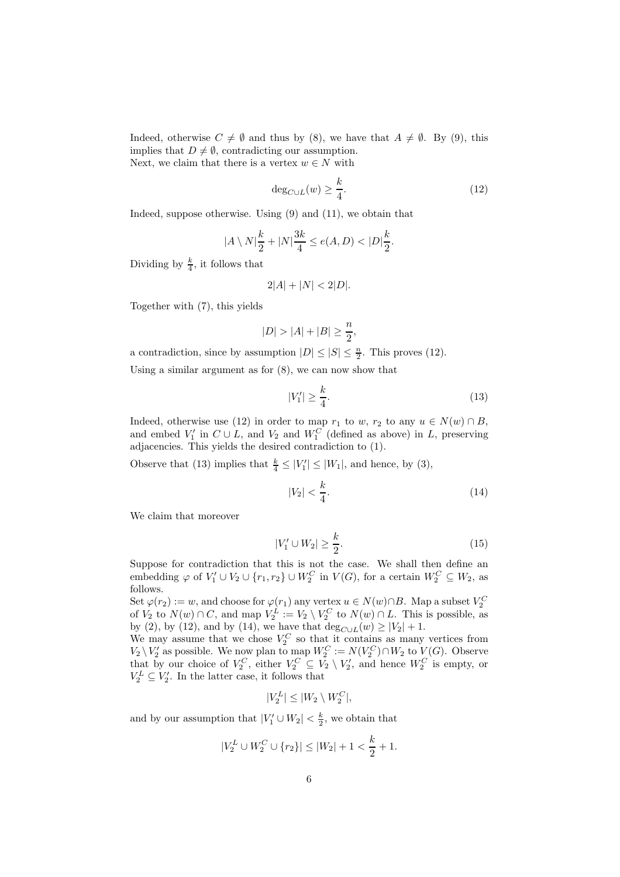Indeed, otherwise  $C \neq \emptyset$  and thus by (8), we have that  $A \neq \emptyset$ . By (9), this implies that  $D \neq \emptyset$ , contradicting our assumption. Next, we claim that there is a vertex  $w \in N$  with

$$
\deg_{C \cup L}(w) \ge \frac{k}{4}.\tag{12}
$$

Indeed, suppose otherwise. Using (9) and (11), we obtain that

$$
|A \setminus N|\frac{k}{2} + |N|\frac{3k}{4} \le e(A, D) < |D|\frac{k}{2}.
$$

Dividing by  $\frac{k}{4}$ , it follows that

$$
2|A| + |N| < 2|D|.
$$

Together with (7), this yields

$$
|D| > |A| + |B| \ge \frac{n}{2},
$$

a contradiction, since by assumption  $|D| \leq |S| \leq \frac{n}{2}$ . This proves (12).

Using a similar argument as for  $(8)$ , we can now show that

$$
|V_1'| \ge \frac{k}{4}.\tag{13}
$$

Indeed, otherwise use (12) in order to map  $r_1$  to w,  $r_2$  to any  $u \in N(w) \cap B$ , and embed  $V'_1$  in  $C \cup L$ , and  $V_2$  and  $W_1^C$  (defined as above) in L, preserving adjacencies. This yields the desired contradiction to (1).

Observe that (13) implies that  $\frac{k}{4} \leq |V'_1| \leq |W_1|$ , and hence, by (3),

$$
|V_2| < \frac{k}{4}.\tag{14}
$$

We claim that moreover

$$
|V_1' \cup W_2| \ge \frac{k}{2}.\tag{15}
$$

Suppose for contradiction that this is not the case. We shall then define an embedding  $\varphi$  of  $V'_1 \cup V_2 \cup \{r_1, r_2\} \cup W_2^C$  in  $V(G)$ , for a certain  $W_2^C \subseteq W_2$ , as follows.

Set  $\varphi(r_2) := w$ , and choose for  $\varphi(r_1)$  any vertex  $u \in N(w) \cap B$ . Map a subset  $V_2^C$  of  $V_2$  to  $N(w) \cap C$ , and map  $V_2^L := V_2 \setminus V_2^C$  to  $N(w) \cap L$ . This is possible, as by (2), by (12), and by (14), we have that  $\deg_{C \cup L}(w) \ge |V_2| + 1$ .

We may assume that we chose  $V_2^C$  so that it contains as many vertices from  $V_2 \setminus V_2'$  as possible. We now plan to map  $W_2^C := N(V_2^C) \cap W_2$  to  $V(G)$ . Observe that by our choice of  $V_2^C$ , either  $V_2^C \subseteq V_2 \setminus V_2'$ , and hence  $W_2^C$  is empty, or  $V_2^L \subseteq V_2'$ . In the latter case, it follows that

$$
|V_2^L| \leq |W_2 \setminus W_2^C|,
$$

and by our assumption that  $|V_1' \cup W_2| < \frac{k}{2}$  $\frac{k}{2}$ , we obtain that

$$
|V_2^L \cup W_2^C \cup \{r_2\}| \le |W_2| + 1 < \frac{k}{2} + 1.
$$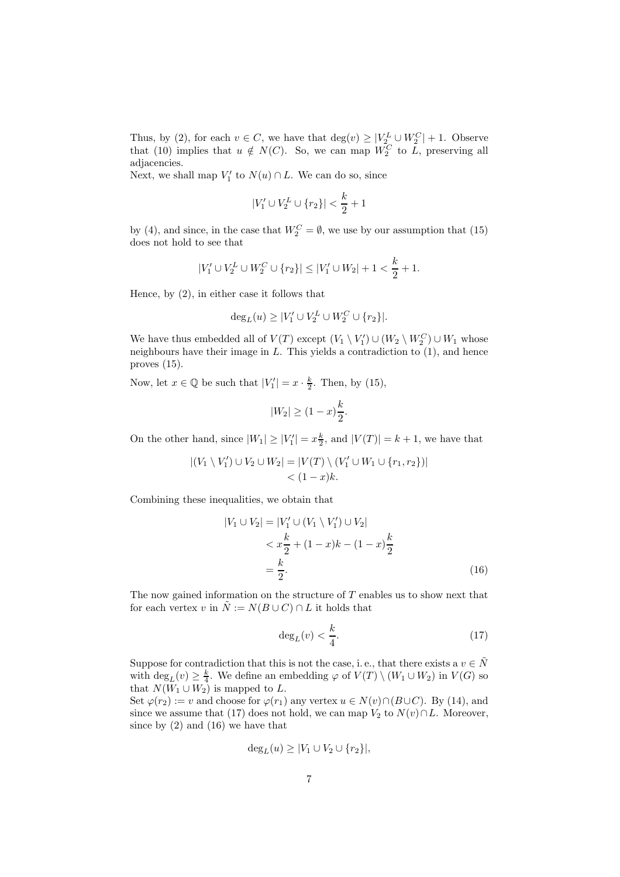Thus, by (2), for each  $v \in C$ , we have that  $\deg(v) \geq |V_2^L \cup W_2^C| + 1$ . Observe that (10) implies that  $u \notin N(C)$ . So, we can map  $W_2^C$  to  $\tilde{L}$ , preserving all adjacencies.

Next, we shall map  $V'_1$  to  $N(u) \cap L$ . We can do so, since

$$
|V_1' \cup V_2^L \cup \{r_2\}| < \frac{k}{2} + 1
$$

by (4), and since, in the case that  $W_2^C = \emptyset$ , we use by our assumption that (15) does not hold to see that

$$
|V_1' \cup V_2^L \cup W_2^C \cup \{r_2\}| \le |V_1' \cup W_2| + 1 < \frac{k}{2} + 1.
$$

Hence, by (2), in either case it follows that

$$
\deg_L(u) \ge |V_1' \cup V_2^L \cup W_2^C \cup \{r_2\}|.
$$

We have thus embedded all of  $V(T)$  except  $(V_1 \setminus V'_1) \cup (W_2 \setminus W'_2) \cup W_1$  whose neighbours have their image in  $L$ . This yields a contradiction to  $(1)$ , and hence proves (15).

Now, let  $x \in \mathbb{Q}$  be such that  $|V'_1| = x \cdot \frac{k}{2}$  $\frac{k}{2}$ . Then, by (15),

$$
|W_2| \ge (1-x)\frac{k}{2}.
$$

On the other hand, since  $|W_1| \ge |V'_1| = x \frac{k}{2}$  $\frac{k}{2}$ , and  $|V(T)| = k + 1$ , we have that

$$
|(V_1 \setminus V_1') \cup V_2 \cup W_2| = |V(T) \setminus (V_1' \cup W_1 \cup \{r_1, r_2\})|
$$
  
< 
$$
< (1-x)k.
$$

Combining these inequalities, we obtain that

$$
|V_1 \cup V_2| = |V'_1 \cup (V_1 \setminus V'_1) \cup V_2|
$$
  

$$
< x\frac{k}{2} + (1-x)k - (1-x)\frac{k}{2}
$$
  

$$
= \frac{k}{2}.
$$
 (16)

The now gained information on the structure of  $T$  enables us to show next that for each vertex v in  $\tilde{N} := N(B \cup C) \cap L$  it holds that

$$
\deg_L(v) < \frac{k}{4}.\tag{17}
$$

Suppose for contradiction that this is not the case, i. e., that there exists a  $v\in \tilde{N}$ with  $\deg_L(v) \geq \frac{k}{4}$ . We define an embedding  $\varphi$  of  $V(T) \setminus (W_1 \cup W_2)$  in  $V(G)$  so that  $N(W_1 \cup W_2)$  is mapped to L.

Set  $\varphi(r_2) := v$  and choose for  $\varphi(r_1)$  any vertex  $u \in N(v) \cap (B \cup C)$ . By (14), and since we assume that (17) does not hold, we can map  $V_2$  to  $N(v) \cap L$ . Moreover, since by  $(2)$  and  $(16)$  we have that

$$
\deg_L(u) \ge |V_1 \cup V_2 \cup \{r_2\}|,
$$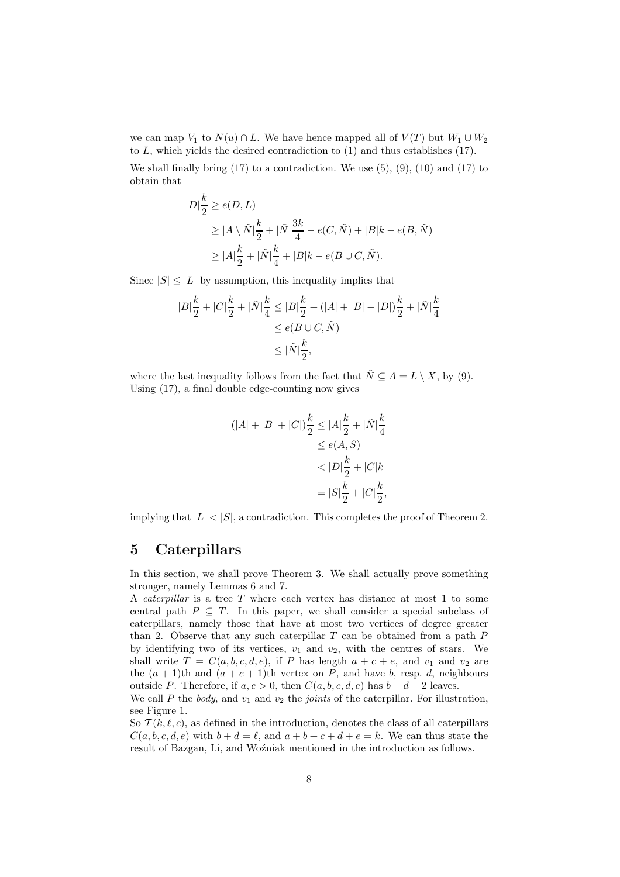we can map  $V_1$  to  $N(u) \cap L$ . We have hence mapped all of  $V(T)$  but  $W_1 \cup W_2$ to  $L$ , which yields the desired contradiction to  $(1)$  and thus establishes  $(17)$ .

We shall finally bring  $(17)$  to a contradiction. We use  $(5)$ ,  $(9)$ ,  $(10)$  and  $(17)$  to obtain that

$$
|D|\frac{k}{2} \ge e(D, L)
$$
  
\n
$$
\ge |A \setminus \tilde{N}|\frac{k}{2} + |\tilde{N}|\frac{3k}{4} - e(C, \tilde{N}) + |B|k - e(B, \tilde{N})
$$
  
\n
$$
\ge |A|\frac{k}{2} + |\tilde{N}|\frac{k}{4} + |B|k - e(B \cup C, \tilde{N}).
$$

Since  $|S| \leq |L|$  by assumption, this inequality implies that

$$
\begin{aligned} |B|\frac{k}{2}+|C|\frac{k}{2}+|\tilde{N}|\frac{k}{4} &\leq |B|\frac{k}{2}+(|A|+|B|-|D|)\frac{k}{2}+|\tilde{N}|\frac{k}{4} \\ &\leq e(B\cup C,\tilde{N}) \\ &\leq |\tilde{N}|\frac{k}{2}, \end{aligned}
$$

where the last inequality follows from the fact that  $\tilde{N} \subseteq A = L \setminus X$ , by (9). Using (17), a final double edge-counting now gives

$$
(|A| + |B| + |C|) \frac{k}{2} \le |A| \frac{k}{2} + |\tilde{N}| \frac{k}{4}
$$
  
\n
$$
\le e(A, S)
$$
  
\n
$$
< |D| \frac{k}{2} + |C| k
$$
  
\n
$$
= |S| \frac{k}{2} + |C| \frac{k}{2},
$$

implying that  $|L| < |S|$ , a contradiction. This completes the proof of Theorem 2.

#### 5 Caterpillars

In this section, we shall prove Theorem 3. We shall actually prove something stronger, namely Lemmas 6 and 7.

A caterpillar is a tree T where each vertex has distance at most 1 to some central path  $P \subseteq T$ . In this paper, we shall consider a special subclass of caterpillars, namely those that have at most two vertices of degree greater than 2. Observe that any such caterpillar  $T$  can be obtained from a path  $P$ by identifying two of its vertices,  $v_1$  and  $v_2$ , with the centres of stars. We shall write  $T = C(a, b, c, d, e)$ , if P has length  $a + c + e$ , and  $v_1$  and  $v_2$  are the  $(a + 1)$ th and  $(a + c + 1)$ th vertex on P, and have b, resp. d, neighbours outside P. Therefore, if  $a, e > 0$ , then  $C(a, b, c, d, e)$  has  $b + d + 2$  leaves.

We call P the body, and  $v_1$  and  $v_2$  the joints of the caterpillar. For illustration, see Figure 1.

So  $\mathcal{T}(k,\ell,c)$ , as defined in the introduction, denotes the class of all caterpillars  $C(a, b, c, d, e)$  with  $b + d = \ell$ , and  $a + b + c + d + e = k$ . We can thus state the result of Bazgan, Li, and Woźniak mentioned in the introduction as follows.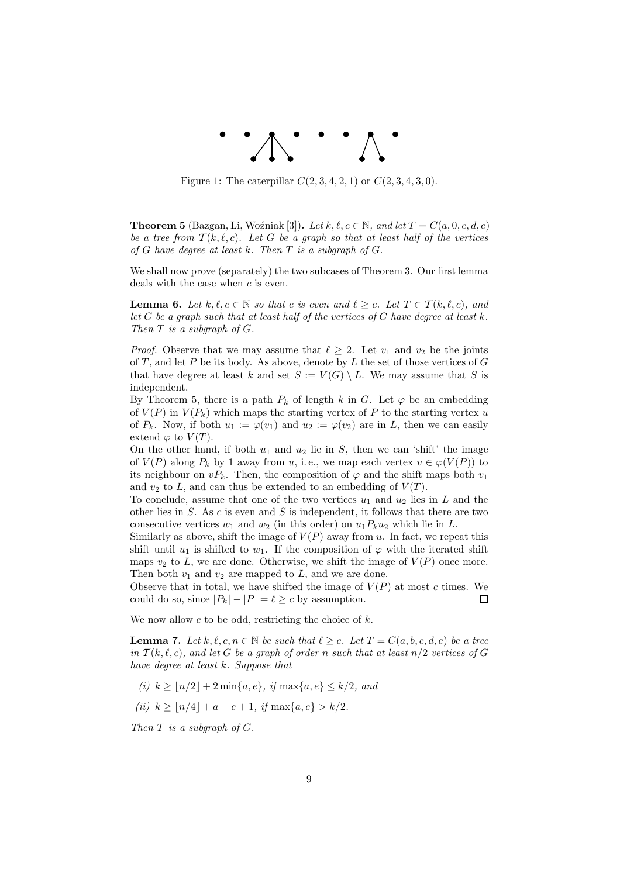

Figure 1: The caterpillar  $C(2, 3, 4, 2, 1)$  or  $C(2, 3, 4, 3, 0)$ .

**Theorem 5** (Bazgan, Li, Woźniak [3]). Let k,  $\ell, c \in \mathbb{N}$ , and let  $T = C(a, 0, c, d, e)$ be a tree from  $T(k, \ell, c)$ . Let G be a graph so that at least half of the vertices of G have degree at least  $k$ . Then  $T$  is a subgraph of  $G$ .

We shall now prove (separately) the two subcases of Theorem 3. Our first lemma deals with the case when  $c$  is even.

**Lemma 6.** Let  $k, \ell, c \in \mathbb{N}$  so that c is even and  $\ell \geq c$ . Let  $T \in \mathcal{T}(k, \ell, c)$ , and let  $G$  be a graph such that at least half of the vertices of  $G$  have degree at least  $k$ . Then  $T$  is a subgraph of  $G$ .

*Proof.* Observe that we may assume that  $\ell > 2$ . Let  $v_1$  and  $v_2$  be the joints of T, and let P be its body. As above, denote by L the set of those vertices of  $G$ that have degree at least k and set  $S := V(G) \setminus L$ . We may assume that S is independent.

By Theorem 5, there is a path  $P_k$  of length k in G. Let  $\varphi$  be an embedding of  $V(P)$  in  $V(P_k)$  which maps the starting vertex of P to the starting vertex u of  $P_k$ . Now, if both  $u_1 := \varphi(v_1)$  and  $u_2 := \varphi(v_2)$  are in L, then we can easily extend  $\varphi$  to  $V(T)$ .

On the other hand, if both  $u_1$  and  $u_2$  lie in S, then we can 'shift' the image of  $V(P)$  along  $P_k$  by 1 away from u, i.e., we map each vertex  $v \in \varphi(V(P))$  to its neighbour on  $vP_k$ . Then, the composition of  $\varphi$  and the shift maps both  $v_1$ and  $v_2$  to L, and can thus be extended to an embedding of  $V(T)$ .

To conclude, assume that one of the two vertices  $u_1$  and  $u_2$  lies in L and the other lies in  $S$ . As  $c$  is even and  $S$  is independent, it follows that there are two consecutive vertices  $w_1$  and  $w_2$  (in this order) on  $u_1P_ku_2$  which lie in L.

Similarly as above, shift the image of  $V(P)$  away from u. In fact, we repeat this shift until  $u_1$  is shifted to  $w_1$ . If the composition of  $\varphi$  with the iterated shift maps  $v_2$  to L, we are done. Otherwise, we shift the image of  $V(P)$  once more. Then both  $v_1$  and  $v_2$  are mapped to  $L$ , and we are done.

Observe that in total, we have shifted the image of  $V(P)$  at most c times. We could do so, since  $|P_k| - |P| = \ell > c$  by assumption.  $\Box$ 

We now allow  $c$  to be odd, restricting the choice of  $k$ .

**Lemma 7.** Let  $k, \ell, c, n \in \mathbb{N}$  be such that  $\ell \geq c$ . Let  $T = C(a, b, c, d, e)$  be a tree in  $T(k, \ell, c)$ , and let G be a graph of order n such that at least  $n/2$  vertices of G have degree at least k. Suppose that

- (i)  $k \ge |n/2| + 2 \min\{a, e\}, \text{ if } \max\{a, e\} \le k/2, \text{ and}$
- (ii)  $k \ge |n/4| + a + e + 1$ , if  $\max\{a, e\} > k/2$ .

Then  $T$  is a subgraph of  $G$ .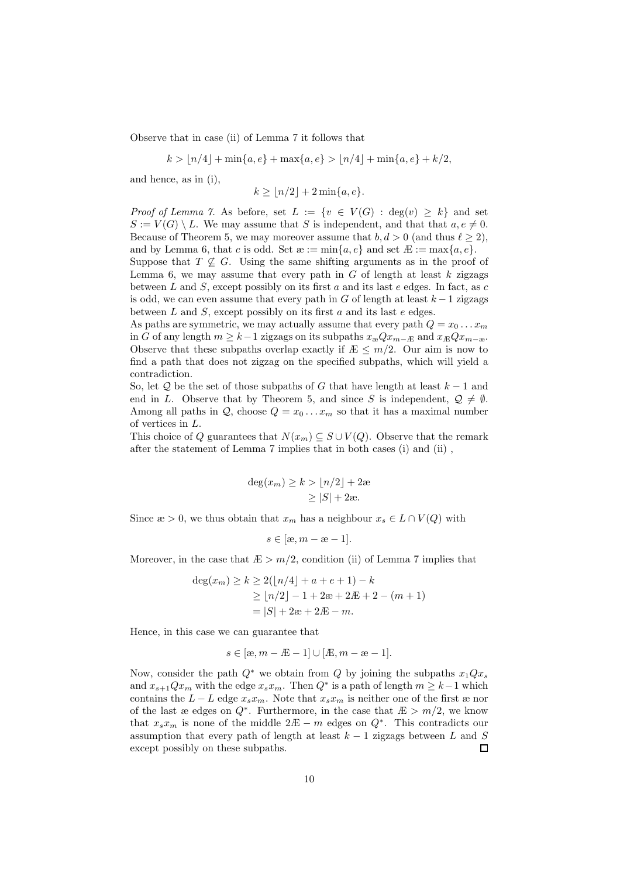Observe that in case (ii) of Lemma 7 it follows that

 $k > |n/4| + \min\{a, e\} + \max\{a, e\} > |n/4| + \min\{a, e\} + k/2,$ 

and hence, as in (i),

$$
k \ge \lfloor n/2 \rfloor + 2 \min\{a, e\}.
$$

*Proof of Lemma 7.* As before, set  $L := \{v \in V(G) : \deg(v) \geq k\}$  and set  $S := V(G) \setminus L$ . We may assume that S is independent, and that that  $a, e \neq 0$ . Because of Theorem 5, we may moreover assume that  $b, d > 0$  (and thus  $\ell \geq 2$ ), and by Lemma 6, that c is odd. Set  $x := min\{a, e\}$  and set  $E := max\{a, e\}$ .

Suppose that  $T \nsubseteq G$ . Using the same shifting arguments as in the proof of Lemma 6, we may assume that every path in  $G$  of length at least  $k$  zigzags between  $L$  and  $S$ , except possibly on its first  $a$  and its last  $e$  edges. In fact, as  $c$ is odd, we can even assume that every path in G of length at least  $k - 1$  zigzags between  $L$  and  $S$ , except possibly on its first  $a$  and its last  $e$  edges.

As paths are symmetric, we may actually assume that every path  $Q = x_0 \dots x_m$ in G of any length  $m \geq k-1$  zigzags on its subpaths  $x_{\infty}Qx_{m-E}$  and  $x_{E}Qx_{m-\infty}$ . Observe that these subpaths overlap exactly if  $E \leq m/2$ . Our aim is now to find a path that does not zigzag on the specified subpaths, which will yield a contradiction.

So, let Q be the set of those subpaths of G that have length at least  $k-1$  and end in L. Observe that by Theorem 5, and since S is independent,  $\mathcal{Q} \neq \emptyset$ . Among all paths in  $Q$ , choose  $Q = x_0 \dots x_m$  so that it has a maximal number of vertices in L.

This choice of Q guarantees that  $N(x_m) \subseteq S \cup V(Q)$ . Observe that the remark after the statement of Lemma 7 implies that in both cases (i) and (ii) ,

$$
\deg(x_m) \ge k > \lfloor n/2 \rfloor + 2\omega
$$
  
\n
$$
\ge |S| + 2\omega.
$$

Since  $x > 0$ , we thus obtain that  $x_m$  has a neighbour  $x_s \in L \cap V(Q)$  with

$$
s \in [\infty, m - \infty - 1].
$$

Moreover, in the case that  $E > m/2$ , condition (ii) of Lemma 7 implies that

$$
deg(x_m) \ge k \ge 2(\lfloor n/4 \rfloor + a + e + 1) - k
$$
  
 
$$
\ge \lfloor n/2 \rfloor - 1 + 2\omega + 2E + 2 - (m + 1)
$$
  
 
$$
= |S| + 2\omega + 2E - m.
$$

Hence, in this case we can guarantee that

$$
s \in [\infty, m - E - 1] \cup [E, m - \infty - 1].
$$

Now, consider the path  $Q^*$  we obtain from Q by joining the subpaths  $x_1Qx_s$ and  $x_{s+1}Qx_m$  with the edge  $x_sx_m$ . Then  $Q^*$  is a path of length  $m \geq k-1$  which contains the  $L - L$  edge  $x_s x_m$ . Note that  $x_s x_m$  is neither one of the first æ nor of the last æ edges on  $Q^*$ . Furthermore, in the case that  $E > m/2$ , we know that  $x_s x_m$  is none of the middle  $2E - m$  edges on  $Q^*$ . This contradicts our assumption that every path of length at least  $k-1$  zigzags between L and S except possibly on these subpaths.  $\Box$